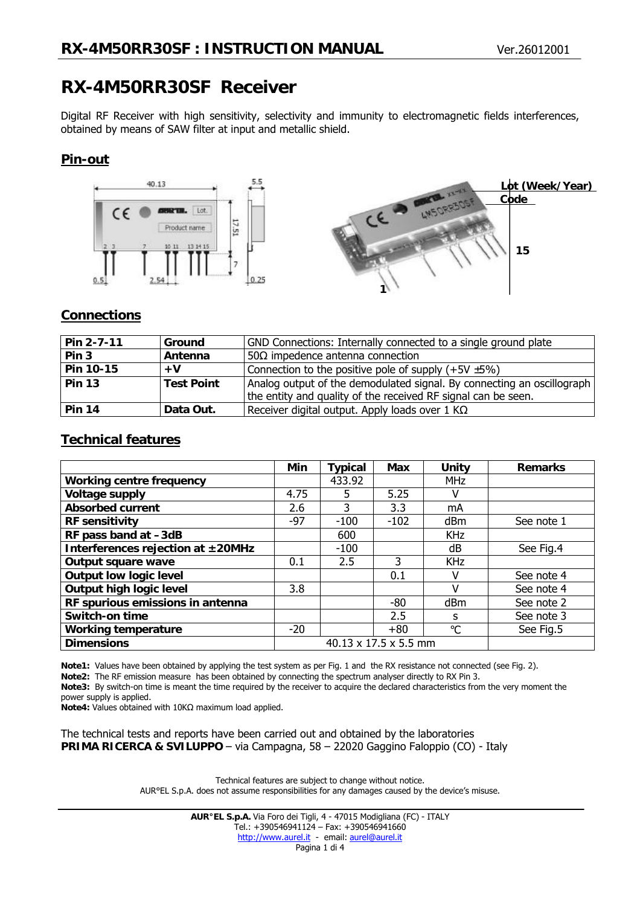# **RX-4M50RR30SF Receiver**

Digital RF Receiver with high sensitivity, selectivity and immunity to electromagnetic fields interferences, obtained by means of SAW filter at input and metallic shield.

# **Pin-out**



# **Connections**

| Pin 2-7-11    | Ground            | GND Connections: Internally connected to a single ground plate         |  |  |
|---------------|-------------------|------------------------------------------------------------------------|--|--|
| Pin 3         | Antenna           | 50 $\Omega$ impedence antenna connection                               |  |  |
| Pin 10-15     | $+V$              | Connection to the positive pole of supply $(+5V \pm 5%)$               |  |  |
| <b>Pin 13</b> | <b>Test Point</b> | Analog output of the demodulated signal. By connecting an oscillograph |  |  |
|               |                   | the entity and quality of the received RF signal can be seen.          |  |  |
| <b>Pin 14</b> | Data Out.         | Receiver digital output. Apply loads over 1 K $\Omega$                 |  |  |

#### **Technical features**

|                                   | Min                   | Typical | Max    | Unity           | <b>Remarks</b> |
|-----------------------------------|-----------------------|---------|--------|-----------------|----------------|
| <b>Working centre frequency</b>   |                       | 433.92  |        | <b>MHz</b>      |                |
| <b>Voltage supply</b>             | 4.75                  | 5       | 5.25   |                 |                |
| <b>Absorbed current</b>           | 2.6                   | 3       | 3.3    | mA              |                |
| <b>RF</b> sensitivity             | $-97$                 | $-100$  | $-102$ | dBm             | See note 1     |
| RF pass band at -3dB              |                       | 600     |        | <b>KHz</b>      |                |
| Interferences rejection at ±20MHz |                       | $-100$  |        | dB              | See Fig.4      |
| Output square wave                | 0.1                   | 2.5     | 3      | <b>KHz</b>      |                |
| <b>Output low logic level</b>     |                       |         | 0.1    |                 | See note 4     |
| Output high logic level           | 3.8                   |         |        |                 | See note 4     |
| RF spurious emissions in antenna  |                       |         | -80    | dBm             | See note 2     |
| Switch-on time                    |                       |         | 2.5    | s               | See note 3     |
| <b>Working temperature</b>        | $-20$                 |         | $+80$  | $\rm ^{\circ}C$ | See Fig.5      |
| <b>Dimensions</b>                 | 40.13 x 17.5 x 5.5 mm |         |        |                 |                |

**Note1:** Values have been obtained by applying the test system as per Fig. 1 and the RX resistance not connected (see Fig. 2). **Note2:** The RF emission measure has been obtained by connecting the spectrum analyser directly to RX Pin 3. **Note3:** By switch-on time is meant the time required by the receiver to acquire the declared characteristics from the very moment the power supply is applied.

**Note4:** Values obtained with 10K*W* maximum load applied.

The technical tests and reports have been carried out and obtained by the laboratories **PRIMA RICERCA & SVILUPPO** – via Campagna, 58 – 22020 Gaggino Faloppio (CO) - Italy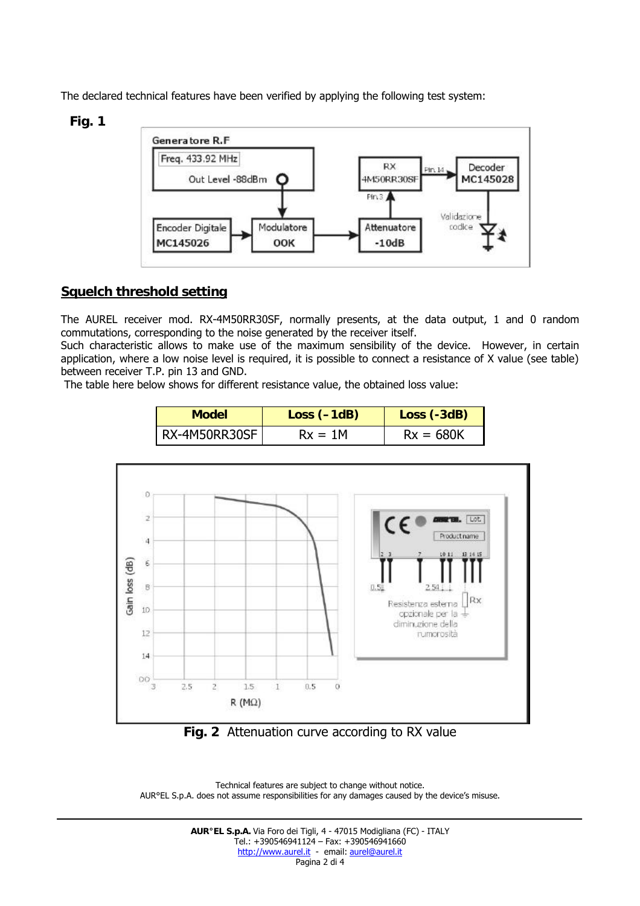The declared technical features have been verified by applying the following test system:

### **Fig. 1**



# **Squelch threshold setting**

The AUREL receiver mod. RX-4M50RR30SF, normally presents, at the data output, 1 and 0 random commutations, corresponding to the noise generated by the receiver itself.

Such characteristic allows to make use of the maximum sensibility of the device. However, in certain application, where a low noise level is required, it is possible to connect a resistance of X value (see table) between receiver T.P. pin 13 and GND.

The table here below shows for different resistance value, the obtained loss value:

| <b>Model</b>  | $Loss (-1dB)$ | Loss (-3dB) |  |
|---------------|---------------|-------------|--|
| RX-4M50RR30SF | $Rx = 1M$     | $Rx = 680K$ |  |



**Fig. 2** Attenuation curve according to RX value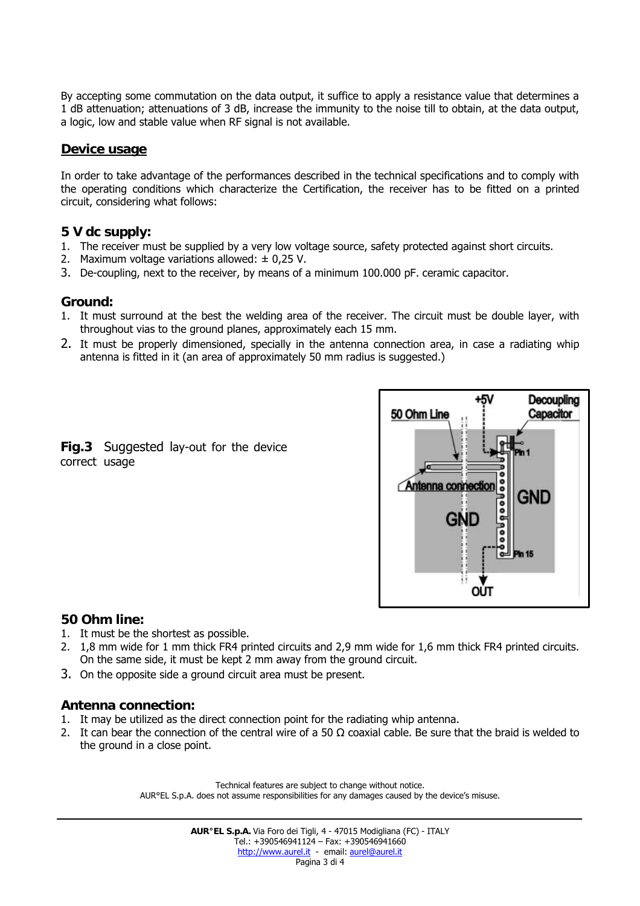By accepting some commutation on the data output, it suffice to apply a resistance value that determines a 1 dB attenuation; attenuations of 3 dB, increase the immunity to the noise till to obtain, at the data output, a logic, low and stable value when RF signal is not available.

### **Device usage**

In order to take advantage of the performances described in the technical specifications and to comply with the operating conditions which characterize the Certification, the receiver has to be fitted on a printed circuit, considering what follows:

#### **5 V dc supply:**

- 1. The receiver must be supplied by a very low voltage source, safety protected against short circuits.
- 2. Maximum voltage variations allowed:  $\pm$  0,25 V.
- 3. De-coupling, next to the receiver, by means of a minimum 100.000 pF. ceramic capacitor.

#### **Ground:**

- 1. It must surround at the best the welding area of the receiver. The circuit must be double layer, with throughout vias to the ground planes, approximately each 15 mm.
- 2. It must be properly dimensioned, specially in the antenna connection area, in case a radiating whip antenna is fitted in it (an area of approximately 50 mm radius is suggested.)

#### **Fig.3** Suggested lay-out for the device correct usage



# **50 Ohm line:**

- 1. It must be the shortest as possible.
- 2. 1,8 mm wide for 1 mm thick FR4 printed circuits and 2,9 mm wide for 1,6 mm thick FR4 printed circuits. On the same side, it must be kept 2 mm away from the ground circuit.
- 3. On the opposite side a ground circuit area must be present.

# **Antenna connection:**

- 1. It may be utilized as the direct connection point for the radiating whip antenna.
- 2. It can bear the connection of the central wire of a 50  $\Omega$  coaxial cable. Be sure that the braid is welded to the ground in a close point.